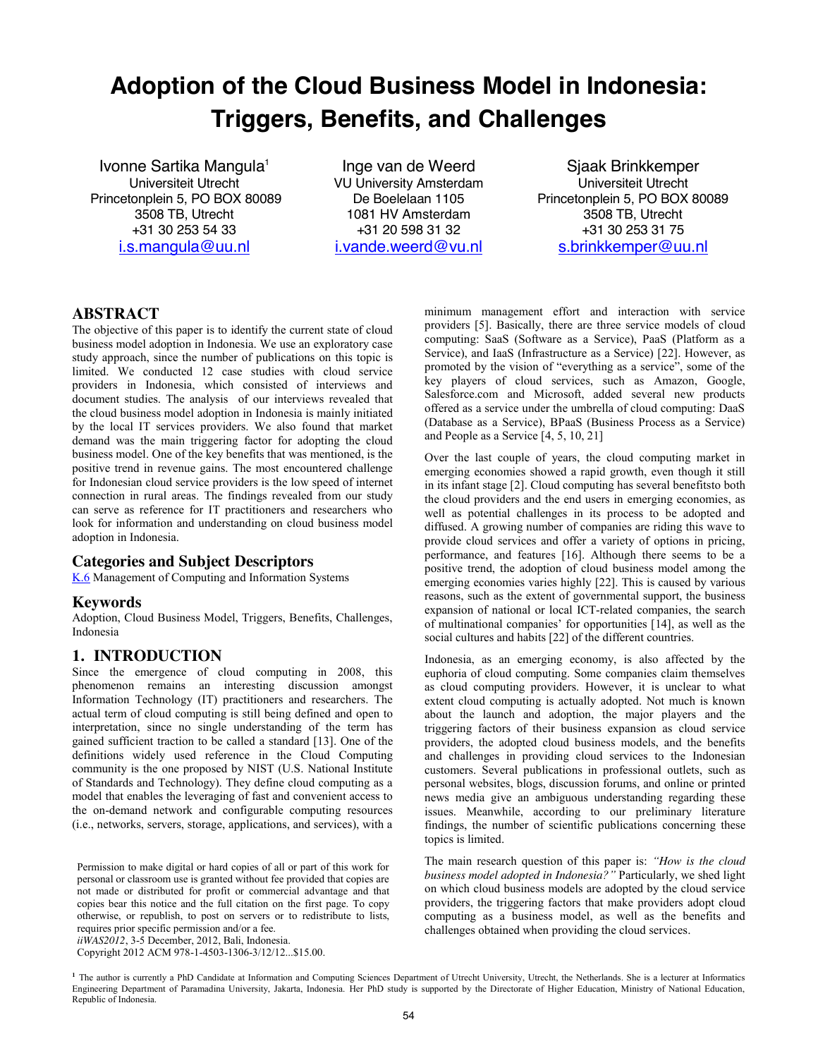# **Adoption of the Cloud Business Model in Indonesia: Triggers, Benefits, and Challenges**

Ivonne Sartika Mangula<sup>1</sup> Universiteit Utrecht Princetonplein 5, PO BOX 80089 3508 TB, Utrecht +31 30 253 54 33 [i.s.mangula@uu.nl](mailto:i.s.mangula@uu.nl) 

Inge van de Weerd VU University Amsterdam De Boelelaan 1105 1081 HV Amsterdam +31 20 598 31 32 [i.vande.weerd@vu.nl](mailto:i.vande.weerd@vu.nl) 

Sjaak Brinkkemper Universiteit Utrecht Princetonplein 5, PO BOX 80089 3508 TB, Utrecht +31 30 253 31 75 [s.brinkkemper@uu.nl](mailto:s.brinkkemper@uu.nl) 

# **ABSTRACT**

The objective of this paper is to identify the current state of cloud business model adoption in Indonesia. We use an exploratory case study approach, since the number of publications on this topic is limited. We conducted 12 case studies with cloud service providers in Indonesia, which consisted of interviews and document studies. The analysis of our interviews revealed that the cloud business model adoption in Indonesia is mainly initiated by the local IT services providers. We also found that market demand was the main triggering factor for adopting the cloud business model. One of the key benefits that was mentioned, is the positive trend in revenue gains. The most encountered challenge for Indonesian cloud service providers is the low speed of internet connection in rural areas. The findings revealed from our study can serve as reference for IT practitioners and researchers who look for information and understanding on cloud business model adoption in Indonesia.

## **Categories and Subject Descriptors**

[K.6 M](file:///C:/Users/Inge/AppData/AppData/Local/AppData/Documents%20and%20Settings/gwd220/Local%20Settings/Temporary%20Internet%20Files/Content.Outlook/RZFF0P90/K.6)anagement of Computing and Information Systems

## **Keywords**

Adoption, Cloud Business Model, Triggers, Benefits, Challenges, Indonesia

## **1. INTRODUCTION**

Since the emergence of cloud computing in 2008, this phenomenon remains an interesting discussion amongst Information Technology (IT) practitioners and researchers. The actual term of cloud computing is still being defined and open to interpretation, since no single understanding of the term has gained sufficient traction to be called a standard [13]. One of the definitions widely used reference in the Cloud Computing community is the one proposed by NIST (U.S. National Institute of Standards and Technology). They define cloud computing as a model that enables the leveraging of fast and convenient access to the on-demand network and configurable computing resources (i.e., networks, servers, storage, applications, and services), with a

Permission to make digital or hard copies of all or part of this work for personal or classroom use is granted without fee provided that copies are not made or distributed for profit or commercial advantage and that copies bear this notice and the full citation on the first page. To copy otherwise, or republish, to post on servers or to redistribute to lists, requires prior specific permission and/or a fee.

*iiWAS2012*, 3-5 December, 2012, Bali, Indonesia.

Copyright 2012 ACM 978-1-4503-1306-3/12/12...\$15.00.

minimum management effort and interaction with service providers [5]. Basically, there are three service models of cloud computing: SaaS (Software as a Service), PaaS (Platform as a Service), and IaaS (Infrastructure as a Service) [22]. However, as promoted by the vision of "everything as a service", some of the key players of cloud services, such as Amazon, Google, Salesforce.com and Microsoft, added several new products offered as a service under the umbrella of cloud computing: DaaS (Database as a Service), BPaaS (Business Process as a Service) and People as a Service [4, 5, 10, 21]

Over the last couple of years, the cloud computing market in emerging economies showed a rapid growth, even though it still in its infant stage [2]. Cloud computing has several benefitsto both the cloud providers and the end users in emerging economies, as well as potential challenges in its process to be adopted and diffused. A growing number of companies are riding this wave to provide cloud services and offer a variety of options in pricing, performance, and features [16]. Although there seems to be a positive trend, the adoption of cloud business model among the emerging economies varies highly [22]. This is caused by various reasons, such as the extent of governmental support, the business expansion of national or local ICT-related companies, the search of multinational companies' for opportunities [14], as well as the social cultures and habits [22] of the different countries.

Indonesia, as an emerging economy, is also affected by the euphoria of cloud computing. Some companies claim themselves as cloud computing providers. However, it is unclear to what extent cloud computing is actually adopted. Not much is known about the launch and adoption, the major players and the triggering factors of their business expansion as cloud service providers, the adopted cloud business models, and the benefits and challenges in providing cloud services to the Indonesian customers. Several publications in professional outlets, such as personal websites, blogs, discussion forums, and online or printed news media give an ambiguous understanding regarding these issues. Meanwhile, according to our preliminary literature findings, the number of scientific publications concerning these topics is limited.

The main research question of this paper is: *"How is the cloud business model adopted in Indonesia?"* Particularly, we shed light on which cloud business models are adopted by the cloud service providers, the triggering factors that make providers adopt cloud computing as a business model, as well as the benefits and challenges obtained when providing the cloud services.

<sup>1</sup> The author is currently a PhD Candidate at Information and Computing Sciences Department of Utrecht University, Utrecht, the Netherlands. She is a lecturer at Informatics Engineering Department of Paramadina University, Jakarta, Indonesia. Her PhD study is supported by the Directorate of Higher Education, Ministry of National Education, Republic of Indonesia.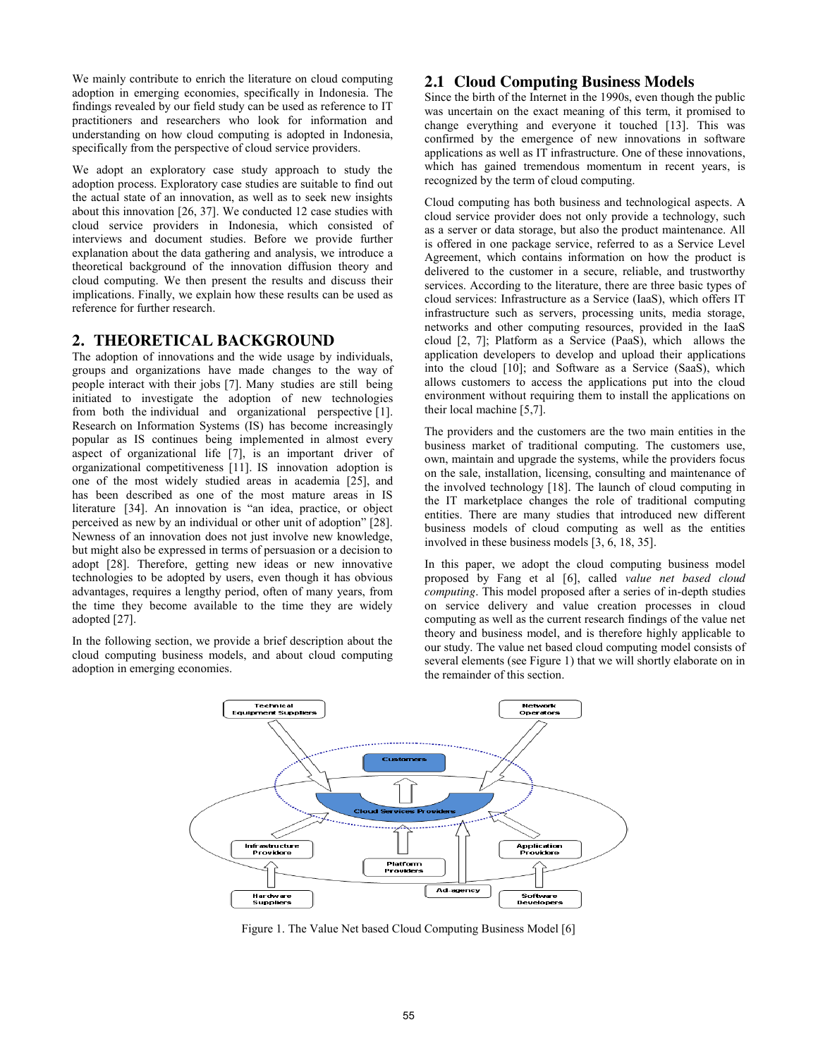We mainly contribute to enrich the literature on cloud computing adoption in emerging economies, specifically in Indonesia. The findings revealed by our field study can be used as reference to IT practitioners and researchers who look for information and understanding on how cloud computing is adopted in Indonesia, specifically from the perspective of cloud service providers.

We adopt an exploratory case study approach to study the adoption process. Exploratory case studies are suitable to find out the actual state of an innovation, as well as to seek new insights about this innovation [26, 37]. We conducted 12 case studies with cloud service providers in Indonesia, which consisted of interviews and document studies. Before we provide further explanation about the data gathering and analysis, we introduce a theoretical background of the innovation diffusion theory and cloud computing. We then present the results and discuss their implications. Finally, we explain how these results can be used as reference for further research.

# **2. THEORETICAL BACKGROUND**

The adoption of innovations and the wide usage by individuals, groups and organizations have made changes to the way of people interact with their jobs [7]. Many studies are still being initiated to investigate the adoption of new technologies from both the individual and organizational perspective [1]. Research on Information Systems (IS) has become increasingly popular as IS continues being implemented in almost every aspect of organizational life [7], is an important driver of organizational competitiveness [11]. IS innovation adoption is one of the most widely studied areas in academia [25], and has been described as one of the most mature areas in IS literature [34]. An innovation is "an idea, practice, or object perceived as new by an individual or other unit of adoption" [28]. Newness of an innovation does not just involve new knowledge, but might also be expressed in terms of persuasion or a decision to adopt [28]. Therefore, getting new ideas or new innovative technologies to be adopted by users, even though it has obvious advantages, requires a lengthy period, often of many years, from the time they become available to the time they are widely adopted [27].

In the following section, we provide a brief description about the cloud computing business models, and about cloud computing adoption in emerging economies.

# **2.1 Cloud Computing Business Models**

Since the birth of the Internet in the 1990s, even though the public was uncertain on the exact meaning of this term, it promised to change everything and everyone it touched [13]. This was confirmed by the emergence of new innovations in software applications as well as IT infrastructure. One of these innovations, which has gained tremendous momentum in recent years, is recognized by the term of cloud computing.

Cloud computing has both business and technological aspects. A cloud service provider does not only provide a technology, such as a server or data storage, but also the product maintenance. All is offered in one package service, referred to as a Service Level Agreement, which contains information on how the product is delivered to the customer in a secure, reliable, and trustworthy services. According to the literature, there are three basic types of cloud services: Infrastructure as a Service (IaaS), which offers IT infrastructure such as servers, processing units, media storage, networks and other computing resources, provided in the IaaS cloud [2, 7]; Platform as a Service (PaaS), which allows the application developers to develop and upload their applications into the cloud [10]; and Software as a Service (SaaS), which allows customers to access the applications put into the cloud environment without requiring them to install the applications on their local machine [5,7].

The providers and the customers are the two main entities in the business market of traditional computing. The customers use, own, maintain and upgrade the systems, while the providers focus on the sale, installation, licensing, consulting and maintenance of the involved technology [18]. The launch of cloud computing in the IT marketplace changes the role of traditional computing entities. There are many studies that introduced new different business models of cloud computing as well as the entities involved in these business models [3, 6, 18, 35].

In this paper, we adopt the cloud computing business model proposed by Fang et al [6], called *value net based cloud computing*. This model proposed after a series of in-depth studies on service delivery and value creation processes in cloud computing as well as the current research findings of the value net theory and business model, and is therefore highly applicable to our study. The value net based cloud computing model consists of several elements (see Figure 1) that we will shortly elaborate on in the remainder of this section.



Figure 1. The Value Net based Cloud Computing Business Model [6]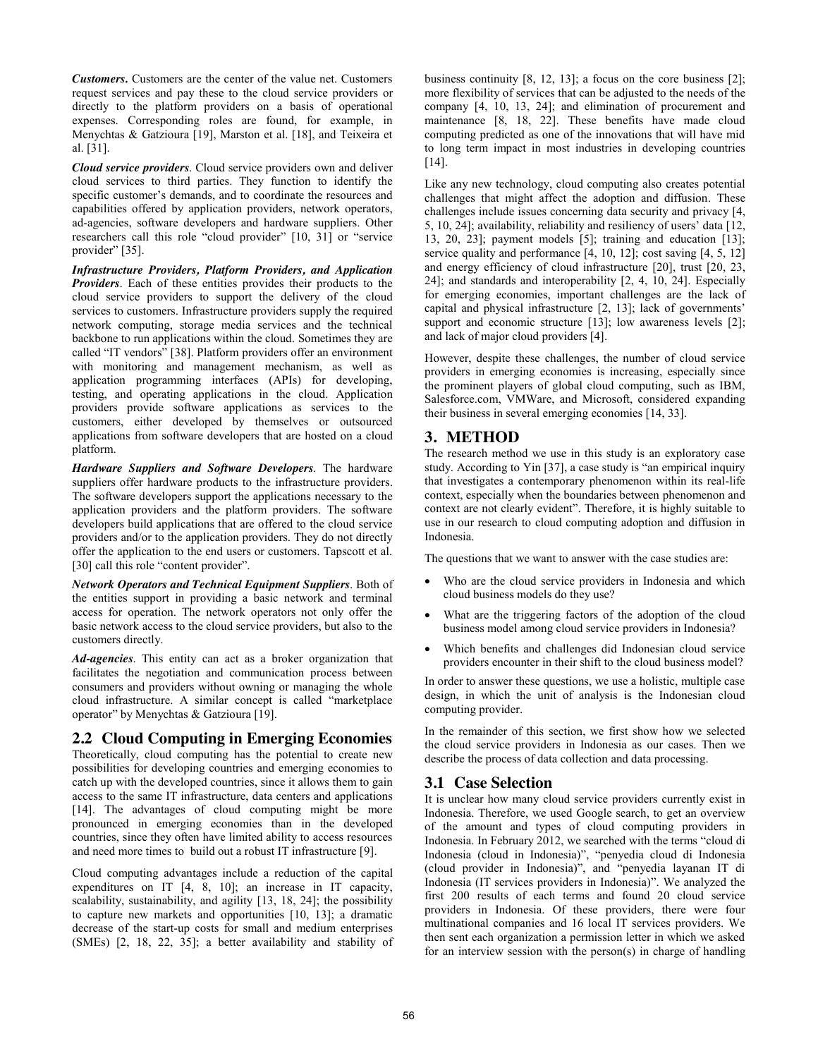*Customers.* Customers are the center of the value net. Customers request services and pay these to the cloud service providers or directly to the platform providers on a basis of operational expenses. Corresponding roles are found, for example, in Menychtas & Gatzioura [19], Marston et al. [18], and Teixeira et al. [31].

*Cloud service providers*. Cloud service providers own and deliver cloud services to third parties. They function to identify the specific customer's demands, and to coordinate the resources and capabilities offered by application providers, network operators, ad-agencies, software developers and hardware suppliers. Other researchers call this role "cloud provider" [10, 31] or "service provider" [35].

*Infrastructure Providers, Platform Providers, and Application Providers*. Each of these entities provides their products to the cloud service providers to support the delivery of the cloud services to customers. Infrastructure providers supply the required network computing, storage media services and the technical backbone to run applications within the cloud. Sometimes they are called "IT vendors" [38]. Platform providers offer an environment with monitoring and management mechanism, as well as application programming interfaces (APIs) for developing, testing, and operating applications in the cloud. Application providers provide software applications as services to the customers, either developed by themselves or outsourced applications from software developers that are hosted on a cloud platform.

*Hardware Suppliers and Software Developers*. The hardware suppliers offer hardware products to the infrastructure providers. The software developers support the applications necessary to the application providers and the platform providers. The software developers build applications that are offered to the cloud service providers and/or to the application providers. They do not directly offer the application to the end users or customers. Tapscott et al. [30] call this role "content provider".

*Network Operators and Technical Equipment Suppliers*. Both of the entities support in providing a basic network and terminal access for operation. The network operators not only offer the basic network access to the cloud service providers, but also to the customers directly.

*Ad-agencies*. This entity can act as a broker organization that facilitates the negotiation and communication process between consumers and providers without owning or managing the whole cloud infrastructure. A similar concept is called "marketplace operator" by Menychtas & Gatzioura [19].

# **2.2 Cloud Computing in Emerging Economies**

Theoretically, cloud computing has the potential to create new possibilities for developing countries and emerging economies to catch up with the developed countries, since it allows them to gain access to the same IT infrastructure, data centers and applications [14]. The advantages of cloud computing might be more pronounced in emerging economies than in the developed countries, since they often have limited ability to access resources and need more times to build out a robust IT infrastructure [9].

Cloud computing advantages include a reduction of the capital expenditures on IT [4, 8, 10]; an increase in IT capacity, scalability, sustainability, and agility [13, 18, 24]; the possibility to capture new markets and opportunities [10, 13]; a dramatic decrease of the start-up costs for small and medium enterprises (SMEs) [2, 18, 22, 35]; a better availability and stability of business continuity [8, 12, 13]; a focus on the core business [2]; more flexibility of services that can be adjusted to the needs of the company [4, 10, 13, 24]; and elimination of procurement and maintenance [8, 18, 22]. These benefits have made cloud computing predicted as one of the innovations that will have mid to long term impact in most industries in developing countries [14].

Like any new technology, cloud computing also creates potential challenges that might affect the adoption and diffusion. These challenges include issues concerning data security and privacy [4, 5, 10, 24]; availability, reliability and resiliency of users' data [12, 13, 20, 23]; payment models [5]; training and education [13]; service quality and performance [4, 10, 12]; cost saving [4, 5, 12] and energy efficiency of cloud infrastructure [20], trust [20, 23, 24]; and standards and interoperability [2, 4, 10, 24]. Especially for emerging economies, important challenges are the lack of capital and physical infrastructure [2, 13]; lack of governments' support and economic structure [13]; low awareness levels [2]; and lack of major cloud providers [4].

However, despite these challenges, the number of cloud service providers in emerging economies is increasing, especially since the prominent players of global cloud computing, such as IBM, Salesforce.com, VMWare, and Microsoft, considered expanding their business in several emerging economies [14, 33].

# **3. METHOD**

The research method we use in this study is an exploratory case study. According to Yin [37], a case study is "an empirical inquiry that investigates a contemporary phenomenon within its real-life context, especially when the boundaries between phenomenon and context are not clearly evident". Therefore, it is highly suitable to use in our research to cloud computing adoption and diffusion in Indonesia.

The questions that we want to answer with the case studies are:

- Who are the cloud service providers in Indonesia and which cloud business models do they use?
- What are the triggering factors of the adoption of the cloud business model among cloud service providers in Indonesia?
- Which benefits and challenges did Indonesian cloud service providers encounter in their shift to the cloud business model?

In order to answer these questions, we use a holistic, multiple case design, in which the unit of analysis is the Indonesian cloud computing provider.

In the remainder of this section, we first show how we selected the cloud service providers in Indonesia as our cases. Then we describe the process of data collection and data processing.

# **3.1 Case Selection**

It is unclear how many cloud service providers currently exist in Indonesia. Therefore, we used Google search, to get an overview of the amount and types of cloud computing providers in Indonesia. In February 2012, we searched with the terms "cloud di Indonesia (cloud in Indonesia)", "penyedia cloud di Indonesia (cloud provider in Indonesia)", and "penyedia layanan IT di Indonesia (IT services providers in Indonesia)". We analyzed the first 200 results of each terms and found 20 cloud service providers in Indonesia. Of these providers, there were four multinational companies and 16 local IT services providers. We then sent each organization a permission letter in which we asked for an interview session with the person(s) in charge of handling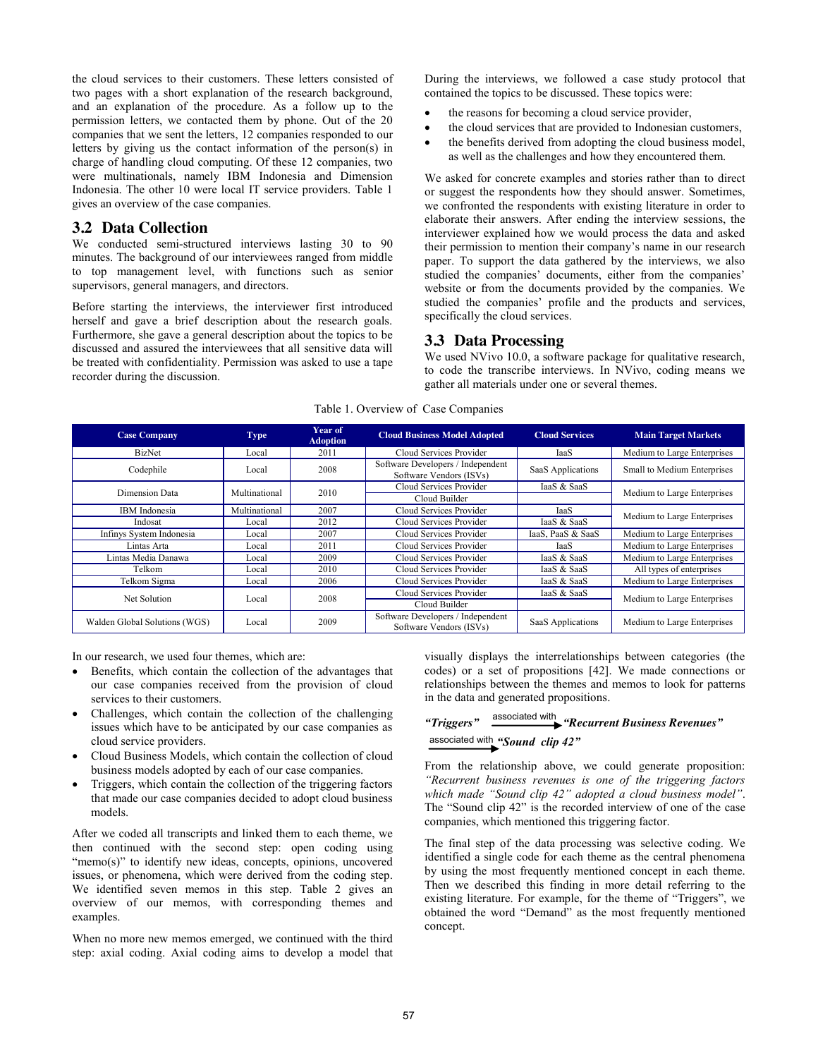the cloud services to their customers. These letters consisted of two pages with a short explanation of the research background, and an explanation of the procedure. As a follow up to the permission letters, we contacted them by phone. Out of the 20 companies that we sent the letters, 12 companies responded to our letters by giving us the contact information of the person(s) in charge of handling cloud computing. Of these 12 companies, two were multinationals, namely IBM Indonesia and Dimension Indonesia. The other 10 were local IT service providers. Table 1 gives an overview of the case companies.

#### **3.2 Data Collection**

We conducted semi-structured interviews lasting 30 to 90 minutes. The background of our interviewees ranged from middle to top management level, with functions such as senior supervisors, general managers, and directors.

Before starting the interviews, the interviewer first introduced herself and gave a brief description about the research goals. Furthermore, she gave a general description about the topics to be discussed and assured the interviewees that all sensitive data will be treated with confidentiality. Permission was asked to use a tape recorder during the discussion.

During the interviews, we followed a case study protocol that contained the topics to be discussed. These topics were:

- the reasons for becoming a cloud service provider,
- the cloud services that are provided to Indonesian customers,
- the benefits derived from adopting the cloud business model, as well as the challenges and how they encountered them.

We asked for concrete examples and stories rather than to direct or suggest the respondents how they should answer. Sometimes, we confronted the respondents with existing literature in order to elaborate their answers. After ending the interview sessions, the interviewer explained how we would process the data and asked their permission to mention their company's name in our research paper. To support the data gathered by the interviews, we also studied the companies' documents, either from the companies' website or from the documents provided by the companies. We studied the companies' profile and the products and services, specifically the cloud services.

#### **3.3 Data Processing**

We used NVivo 10.0, a software package for qualitative research, to code the transcribe interviews. In NVivo, coding means we gather all materials under one or several themes.

| <b>Case Company</b>           | <b>Type</b>   | Year of<br><b>Adoption</b> | <b>Cloud Business Model Adopted</b>                          | <b>Cloud Services</b> | <b>Main Target Markets</b>  |  |
|-------------------------------|---------------|----------------------------|--------------------------------------------------------------|-----------------------|-----------------------------|--|
| <b>BizNet</b>                 | Local         | 2011                       | Cloud Services Provider                                      | IaaS                  | Medium to Large Enterprises |  |
| Codephile                     | Local         | 2008                       | Software Developers / Independent<br>Software Vendors (ISVs) | SaaS Applications     | Small to Medium Enterprises |  |
|                               | Multinational | 2010                       | Cloud Services Provider                                      | IaaS & SaaS           |                             |  |
| Dimension Data                |               |                            | Cloud Builder                                                |                       | Medium to Large Enterprises |  |
| <b>IBM</b> Indonesia          | Multinational | 2007                       | Cloud Services Provider                                      | IaaS                  |                             |  |
| Indosat                       | Local         | 2012                       | Cloud Services Provider                                      | IaaS & SaaS           | Medium to Large Enterprises |  |
| Infinys System Indonesia      | Local         | 2007                       | Cloud Services Provider                                      | IaaS, PaaS & SaaS     | Medium to Large Enterprises |  |
| Lintas Arta                   | Local         | 2011                       | Cloud Services Provider                                      | IaaS                  | Medium to Large Enterprises |  |
| Lintas Media Danawa           | Local         | 2009                       | Cloud Services Provider                                      | IaaS & SaaS           | Medium to Large Enterprises |  |
| Telkom                        | Local         | 2010                       | Cloud Services Provider                                      | IaaS & SaaS           | All types of enterprises    |  |
| Telkom Sigma                  | Local         | 2006                       | Cloud Services Provider                                      | IaaS & SaaS           | Medium to Large Enterprises |  |
| Net Solution                  | Local         | 2008                       | Cloud Services Provider                                      | IaaS & SaaS           | Medium to Large Enterprises |  |
|                               |               |                            | Cloud Builder                                                |                       |                             |  |
| Walden Global Solutions (WGS) | Local         | 2009                       | Software Developers / Independent<br>Software Vendors (ISVs) | SaaS Applications     | Medium to Large Enterprises |  |

Table 1. Overview of Case Companies

In our research, we used four themes, which are:

- Benefits, which contain the collection of the advantages that our case companies received from the provision of cloud services to their customers.
- Challenges, which contain the collection of the challenging issues which have to be anticipated by our case companies as cloud service providers.
- Cloud Business Models, which contain the collection of cloud business models adopted by each of our case companies.
- Triggers, which contain the collection of the triggering factors that made our case companies decided to adopt cloud business models.

After we coded all transcripts and linked them to each theme, we then continued with the second step: open coding using "memo(s)" to identify new ideas, concepts, opinions, uncovered issues, or phenomena, which were derived from the coding step. We identified seven memos in this step. Table 2 gives an overview of our memos, with corresponding themes and examples.

When no more new memos emerged, we continued with the third step: axial coding. Axial coding aims to develop a model that visually displays the interrelationships between categories (the codes) or a set of propositions [42]. We made connections or relationships between the themes and memos to look for patterns in the data and generated propositions.

*"Triggers" "Recurrent Business Revenues"*  associated with associated with "Sound clip 42"

From the relationship above, we could generate proposition: *"Recurrent business revenues is one of the triggering factors which made "Sound clip 42" adopted a cloud business model"*. The "Sound clip 42" is the recorded interview of one of the case companies, which mentioned this triggering factor.

The final step of the data processing was selective coding. We identified a single code for each theme as the central phenomena by using the most frequently mentioned concept in each theme. Then we described this finding in more detail referring to the existing literature. For example, for the theme of "Triggers", we obtained the word "Demand" as the most frequently mentioned concept.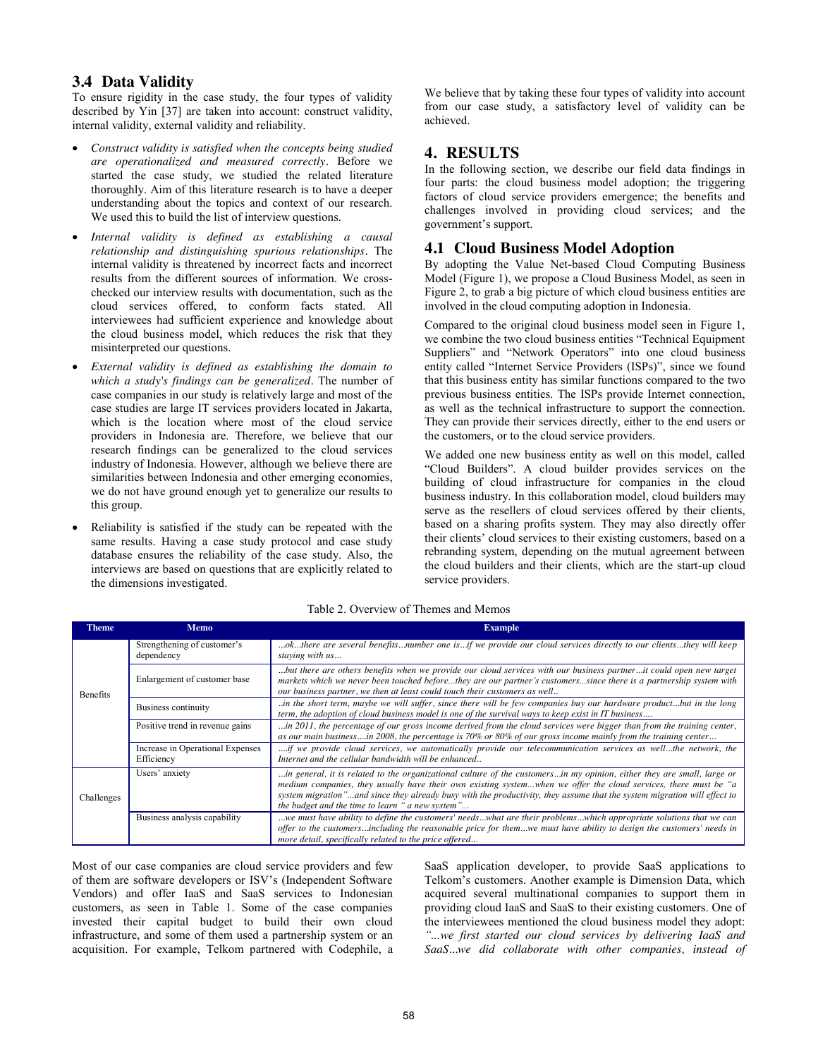# **3.4 Data Validity**

To ensure rigidity in the case study, the four types of validity described by Yin [37] are taken into account: construct validity, internal validity, external validity and reliability.

- *Construct validity is satisfied when the concepts being studied are operationalized and measured correctly.* Before we started the case study, we studied the related literature thoroughly. Aim of this literature research is to have a deeper understanding about the topics and context of our research. We used this to build the list of interview questions.
- *Internal validity is defined as establishing a causal relationship and distinguishing spurious relationships.* The internal validity is threatened by incorrect facts and incorrect results from the different sources of information. We crosschecked our interview results with documentation, such as the cloud services offered, to conform facts stated. All interviewees had sufficient experience and knowledge about the cloud business model, which reduces the risk that they misinterpreted our questions.
- *External validity is defined as establishing the domain to which a study's findings can be generalized.* The number of case companies in our study is relatively large and most of the case studies are large IT services providers located in Jakarta, which is the location where most of the cloud service providers in Indonesia are. Therefore, we believe that our research findings can be generalized to the cloud services industry of Indonesia. However, although we believe there are similarities between Indonesia and other emerging economies, we do not have ground enough yet to generalize our results to this group.
- Reliability is satisfied if the study can be repeated with the same results. Having a case study protocol and case study database ensures the reliability of the case study. Also, the interviews are based on questions that are explicitly related to the dimensions investigated.

We believe that by taking these four types of validity into account from our case study, a satisfactory level of validity can be achieved.

# **4. RESULTS**

In the following section, we describe our field data findings in four parts: the cloud business model adoption; the triggering factors of cloud service providers emergence; the benefits and challenges involved in providing cloud services; and the government's support.

## **4.1 Cloud Business Model Adoption**

By adopting the Value Net-based Cloud Computing Business Model (Figure 1), we propose a Cloud Business Model, as seen in Figure 2, to grab a big picture of which cloud business entities are involved in the cloud computing adoption in Indonesia.

Compared to the original cloud business model seen in Figure 1, we combine the two cloud business entities "Technical Equipment Suppliers" and "Network Operators" into one cloud business entity called "Internet Service Providers (ISPs)", since we found that this business entity has similar functions compared to the two previous business entities. The ISPs provide Internet connection, as well as the technical infrastructure to support the connection. They can provide their services directly, either to the end users or the customers, or to the cloud service providers.

We added one new business entity as well on this model, called "Cloud Builders". A cloud builder provides services on the building of cloud infrastructure for companies in the cloud business industry. In this collaboration model, cloud builders may serve as the resellers of cloud services offered by their clients, based on a sharing profits system. They may also directly offer their clients' cloud services to their existing customers, based on a rebranding system, depending on the mutual agreement between the cloud builders and their clients, which are the start-up cloud service providers.

| Theme      | <b>Memo</b>                                                                                                                                                                                                                                      | <b>Example</b>                                                                                                                                                                                                                                                                                                                                                                                                            |
|------------|--------------------------------------------------------------------------------------------------------------------------------------------------------------------------------------------------------------------------------------------------|---------------------------------------------------------------------------------------------------------------------------------------------------------------------------------------------------------------------------------------------------------------------------------------------------------------------------------------------------------------------------------------------------------------------------|
| Benefits   | Strengthening of customer's<br>dependency                                                                                                                                                                                                        | okthere are several benefitsnumber one isif we provide our cloud services directly to our clientsthey will keep<br>staying with us                                                                                                                                                                                                                                                                                        |
|            | Enlargement of customer base                                                                                                                                                                                                                     | but there are others benefits when we provide our cloud services with our business partnerit could open new target<br>markets which we never been touched beforethey are our partner's customerssince there is a partnership system with<br>our business partner, we then at least could touch their customers as well                                                                                                    |
|            | in the short term, maybe we will suffer, since there will be few companies buy our hardware productbut in the long<br>Business continuity<br>term, the adoption of cloud business model is one of the survival ways to keep exist in IT business |                                                                                                                                                                                                                                                                                                                                                                                                                           |
|            | Positive trend in revenue gains                                                                                                                                                                                                                  | in 2011, the percentage of our gross income derived from the cloud services were bigger than from the training center,<br>as our main businessin 2008, the percentage is 70% or 80% of our gross income mainly from the training center                                                                                                                                                                                   |
|            | Increase in Operational Expenses<br>Efficiency                                                                                                                                                                                                   | if we provide cloud services, we automatically provide our telecommunication services as wellthe network, the<br>Internet and the cellular bandwidth will be enhanced                                                                                                                                                                                                                                                     |
| Challenges | Users' anxiety                                                                                                                                                                                                                                   | in general, it is related to the organizational culture of the customersin my opinion, either they are small, large or<br>medium companies, they usually have their own existing systemwhen we offer the cloud services, there must be "a<br>system migration"and since they already busy with the productivity, they assume that the system migration will effect to<br>the budget and the time to learn " a new system" |
|            | Business analysis capability                                                                                                                                                                                                                     | we must have ability to define the customers' needswhat are their problemswhich appropriate solutions that we can<br>offer to the customersincluding the reasonable price for themwe must have ability to design the customers' needs in<br>more detail, specifically related to the price offered                                                                                                                        |

#### Table 2. Overview of Themes and Memos

Most of our case companies are cloud service providers and few of them are software developers or ISV's (Independent Software Vendors) and offer IaaS and SaaS services to Indonesian customers, as seen in Table 1. Some of the case companies invested their capital budget to build their own cloud infrastructure, and some of them used a partnership system or an acquisition. For example, Telkom partnered with Codephile, a

SaaS application developer, to provide SaaS applications to Telkom's customers. Another example is Dimension Data, which acquired several multinational companies to support them in providing cloud IaaS and SaaS to their existing customers. One of the interviewees mentioned the cloud business model they adopt: *"...we first started our cloud services by delivering IaaS and SaaS...we did collaborate with other companies, instead of*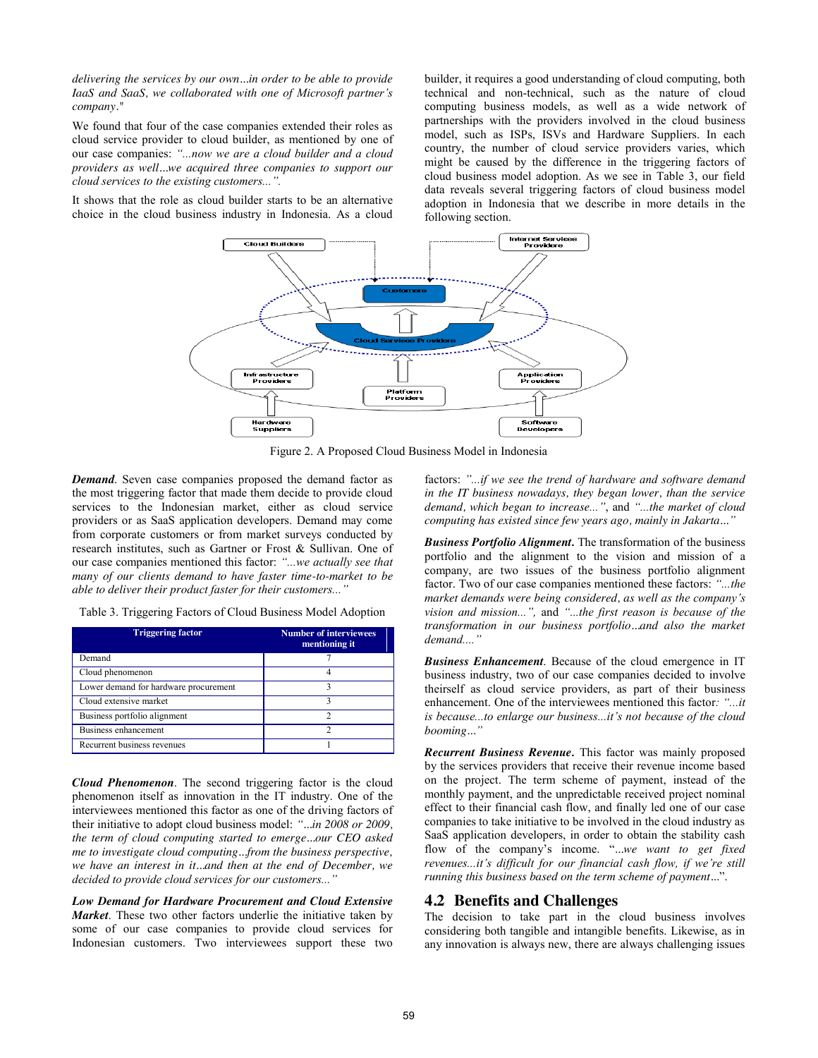*delivering the services by our own...in order to be able to provide IaaS and SaaS, we collaborated with one of Microsoft partner's company."* 

We found that four of the case companies extended their roles as cloud service provider to cloud builder, as mentioned by one of our case companies: *"...now we are a cloud builder and a cloud providers as well...we acquired three companies to support our cloud services to the existing customers...".* 

It shows that the role as cloud builder starts to be an alternative choice in the cloud business industry in Indonesia. As a cloud

builder, it requires a good understanding of cloud computing, both technical and non-technical, such as the nature of cloud computing business models, as well as a wide network of partnerships with the providers involved in the cloud business model, such as ISPs, ISVs and Hardware Suppliers. In each country, the number of cloud service providers varies, which might be caused by the difference in the triggering factors of cloud business model adoption. As we see in Table 3, our field data reveals several triggering factors of cloud business model adoption in Indonesia that we describe in more details in the following section.



Figure 2. A Proposed Cloud Business Model in Indonesia

*Demand*. Seven case companies proposed the demand factor as the most triggering factor that made them decide to provide cloud services to the Indonesian market, either as cloud service providers or as SaaS application developers. Demand may come from corporate customers or from market surveys conducted by research institutes, such as Gartner or Frost & Sullivan. One of our case companies mentioned this factor: *"...we actually see that many of our clients demand to have faster time-to-market to be able to deliver their product faster for their customers..."* 

Table 3. Triggering Factors of Cloud Business Model Adoption

| <b>Triggering factor</b>              | <b>Number of interviewees</b><br>mentioning it |
|---------------------------------------|------------------------------------------------|
| Demand                                |                                                |
| Cloud phenomenon                      |                                                |
| Lower demand for hardware procurement |                                                |
| Cloud extensive market                |                                                |
| Business portfolio alignment          |                                                |
| Business enhancement                  |                                                |
| Recurrent business revenues           |                                                |

*Cloud Phenomenon*. The second triggering factor is the cloud phenomenon itself as innovation in the IT industry. One of the interviewees mentioned this factor as one of the driving factors of their initiative to adopt cloud business model: *"...in 2008 or 2009, the term of cloud computing started to emerge...our CEO asked me to investigate cloud computing...from the business perspective, we have an interest in it...and then at the end of December, we decided to provide cloud services for our customers..."*

*Low Demand for Hardware Procurement and Cloud Extensive Market*. These two other factors underlie the initiative taken by some of our case companies to provide cloud services for Indonesian customers. Two interviewees support these two

factors: *"...if we see the trend of hardware and software demand in the IT business nowadays, they began lower, than the service demand, which began to increase..."*, and *"...the market of cloud computing has existed since few years ago, mainly in Jakarta..."* 

*Business Portfolio Alignment.* The transformation of the business portfolio and the alignment to the vision and mission of a company, are two issues of the business portfolio alignment factor. Two of our case companies mentioned these factors: *"...the market demands were being considered, as well as the company's vision and mission...",* and *"...the first reason is because of the transformation in our business portfolio...and also the market demand...."*

*Business Enhancement*. Because of the cloud emergence in IT business industry, two of our case companies decided to involve theirself as cloud service providers, as part of their business enhancement. One of the interviewees mentioned this factor*: "...it is because...to enlarge our business...it's not because of the cloud booming..."*

*Recurrent Business Revenue.* This factor was mainly proposed by the services providers that receive their revenue income based on the project. The term scheme of payment, instead of the monthly payment, and the unpredictable received project nominal effect to their financial cash flow, and finally led one of our case companies to take initiative to be involved in the cloud industry as SaaS application developers, in order to obtain the stability cash flow of the company's income. "*...we want to get fixed revenues...it's difficult for our financial cash flow, if we're still running this business based on the term scheme of payment...*".

#### **4.2 Benefits and Challenges**

The decision to take part in the cloud business involves considering both tangible and intangible benefits. Likewise, as in any innovation is always new, there are always challenging issues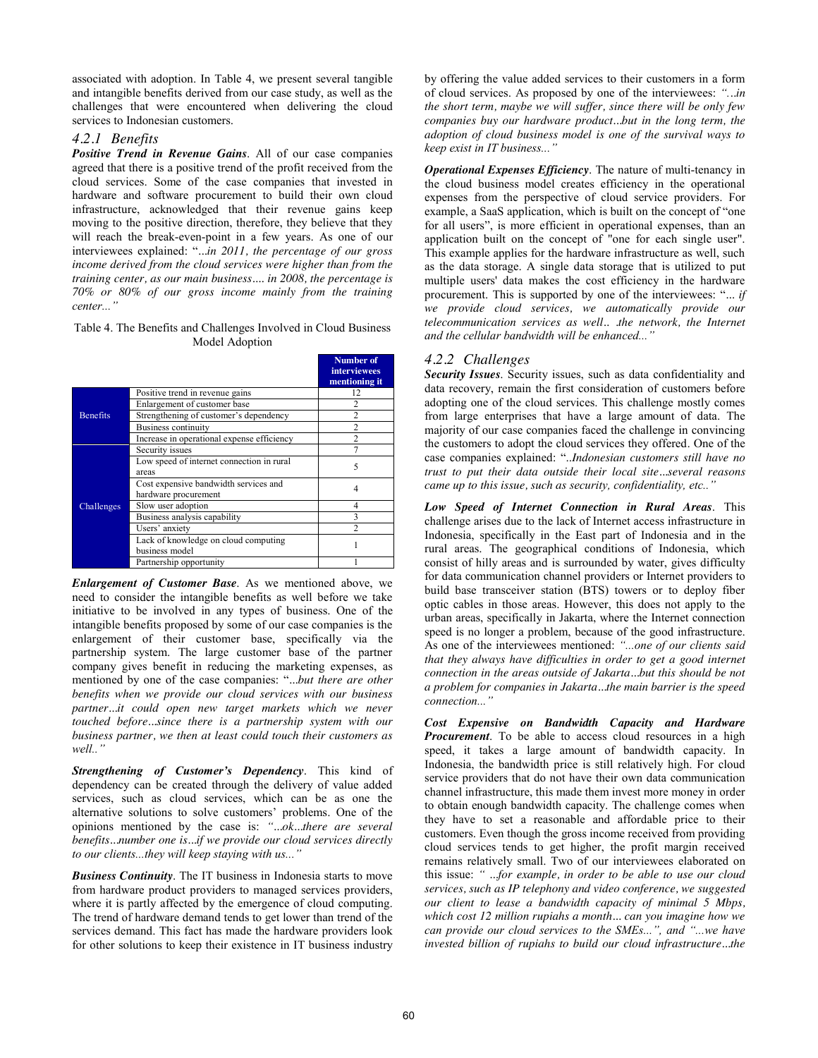associated with adoption. In Table 4, we present several tangible and intangible benefits derived from our case study, as well as the challenges that were encountered when delivering the cloud services to Indonesian customers.

#### *4.2.1 Benefits*

*Positive Trend in Revenue Gains*. All of our case companies agreed that there is a positive trend of the profit received from the cloud services. Some of the case companies that invested in hardware and software procurement to build their own cloud infrastructure, acknowledged that their revenue gains keep moving to the positive direction, therefore, they believe that they will reach the break-even-point in a few years. As one of our interviewees explained: "*...in 2011, the percentage of our gross income derived from the cloud services were higher than from the training center, as our main business.... in 2008, the percentage is 70% or 80% of our gross income mainly from the training center..."*

#### Table 4. The Benefits and Challenges Involved in Cloud Business Model Adoption

|                 |                                                               | Number of<br><b>interviewees</b><br>mentioning it |
|-----------------|---------------------------------------------------------------|---------------------------------------------------|
| <b>Benefits</b> | Positive trend in revenue gains                               | 12                                                |
|                 | Enlargement of customer base                                  | 2                                                 |
|                 | Strengthening of customer's dependency                        | $\mathfrak{D}$                                    |
|                 | <b>Business continuity</b>                                    | $\mathfrak{D}$                                    |
|                 | Increase in operational expense efficiency                    | 2                                                 |
| Challenges      | Security issues                                               | $\overline{7}$                                    |
|                 | Low speed of internet connection in rural<br>areas            | 5                                                 |
|                 | Cost expensive bandwidth services and<br>hardware procurement | 4                                                 |
|                 | Slow user adoption                                            | 4                                                 |
|                 | Business analysis capability                                  | ٩                                                 |
|                 | Users' anxiety                                                | $\mathfrak{D}$                                    |
|                 | Lack of knowledge on cloud computing<br>business model        |                                                   |
|                 | Partnership opportunity                                       |                                                   |

*Enlargement of Customer Base*. As we mentioned above, we need to consider the intangible benefits as well before we take initiative to be involved in any types of business. One of the intangible benefits proposed by some of our case companies is the enlargement of their customer base, specifically via the partnership system. The large customer base of the partner company gives benefit in reducing the marketing expenses, as mentioned by one of the case companies: "*...but there are other benefits when we provide our cloud services with our business partner...it could open new target markets which we never touched before...since there is a partnership system with our business partner, we then at least could touch their customers as well.."*

*Strengthening of Customer's Dependency*. This kind of dependency can be created through the delivery of value added services, such as cloud services, which can be as one the alternative solutions to solve customers' problems. One of the opinions mentioned by the case is: *"...ok...there are several benefits...number one is...if we provide our cloud services directly to our clients...they will keep staying with us..."* 

*Business Continuity*. The IT business in Indonesia starts to move from hardware product providers to managed services providers, where it is partly affected by the emergence of cloud computing. The trend of hardware demand tends to get lower than trend of the services demand. This fact has made the hardware providers look for other solutions to keep their existence in IT business industry by offering the value added services to their customers in a form of cloud services. As proposed by one of the interviewees: *"...in the short term, maybe we will suffer, since there will be only few companies buy our hardware product...but in the long term, the adoption of cloud business model is one of the survival ways to keep exist in IT business..."*

*Operational Expenses Efficiency*. The nature of multi-tenancy in the cloud business model creates efficiency in the operational expenses from the perspective of cloud service providers. For example, a SaaS application, which is built on the concept of "one for all users", is more efficient in operational expenses, than an application built on the concept of "one for each single user". This example applies for the hardware infrastructure as well, such as the data storage. A single data storage that is utilized to put multiple users' data makes the cost efficiency in the hardware procurement. This is supported by one of the interviewees: "*... if we provide cloud services, we automatically provide our telecommunication services as well.. .the network, the Internet and the cellular bandwidth will be enhanced..."*

#### *4.2.2 Challenges*

*Security Issues*. Security issues, such as data confidentiality and data recovery, remain the first consideration of customers before adopting one of the cloud services. This challenge mostly comes from large enterprises that have a large amount of data. The majority of our case companies faced the challenge in convincing the customers to adopt the cloud services they offered. One of the case companies explained: "..*Indonesian customers still have no trust to put their data outside their local site...several reasons came up to this issue, such as security, confidentiality, etc.."*

*Low Speed of Internet Connection in Rural Areas*. This challenge arises due to the lack of Internet access infrastructure in Indonesia, specifically in the East part of Indonesia and in the rural areas. The geographical conditions of Indonesia, which consist of hilly areas and is surrounded by water, gives difficulty for data communication channel providers or Internet providers to build base transceiver station (BTS) towers or to deploy fiber optic cables in those areas. However, this does not apply to the urban areas, specifically in Jakarta, where the Internet connection speed is no longer a problem, because of the good infrastructure. As one of the interviewees mentioned: *"...one of our clients said that they always have difficulties in order to get a good internet connection in the areas outside of Jakarta...but this should be not a problem for companies in Jakarta...the main barrier is the speed connection..."*

*Cost Expensive on Bandwidth Capacity and Hardware Procurement*. To be able to access cloud resources in a high speed, it takes a large amount of bandwidth capacity. In Indonesia, the bandwidth price is still relatively high. For cloud service providers that do not have their own data communication channel infrastructure, this made them invest more money in order to obtain enough bandwidth capacity. The challenge comes when they have to set a reasonable and affordable price to their customers. Even though the gross income received from providing cloud services tends to get higher, the profit margin received remains relatively small. Two of our interviewees elaborated on this issue: *" ...for example, in order to be able to use our cloud services, such as IP telephony and video conference, we suggested our client to lease a bandwidth capacity of minimal 5 Mbps, which cost 12 million rupiahs a month... can you imagine how we can provide our cloud services to the SMEs...", and "...we have invested billion of rupiahs to build our cloud infrastructure...the*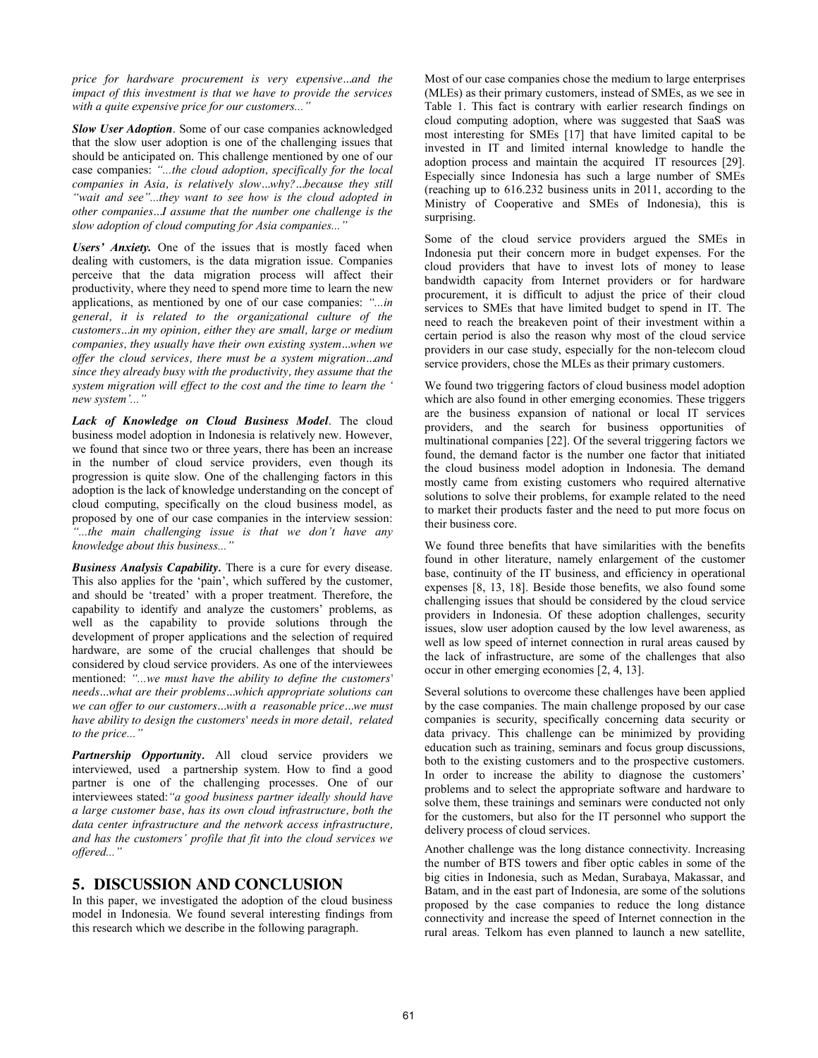*price for hardware procurement is very expensive...and the impact of this investment is that we have to provide the services*  with a quite expensive price for our customers..."

*Slow User Adoption*. Some of our case companies acknowledged that the slow user adoption is one of the challenging issues that should be anticipated on. This challenge mentioned by one of our case companies: *"...the cloud adoption, specifically for the local companies in Asia, is relatively slow...why?...because they still "wait and see"...they want to see how is the cloud adopted in other companies...I assume that the number one challenge is the slow adoption of cloud computing for Asia companies..."*

*Users' Anxiety.* One of the issues that is mostly faced when dealing with customers, is the data migration issue. Companies perceive that the data migration process will affect their productivity, where they need to spend more time to learn the new applications, as mentioned by one of our case companies: *"...in general, it is related to the organizational culture of the customers...in my opinion, either they are small, large or medium companies, they usually have their own existing system...when we offer the cloud services, there must be a system migration...and since they already busy with the productivity, they assume that the system migration will effect to the cost and the time to learn the ' new system'..."*

*Lack of Knowledge on Cloud Business Model*. The cloud business model adoption in Indonesia is relatively new. However, we found that since two or three years, there has been an increase in the number of cloud service providers, even though its progression is quite slow. One of the challenging factors in this adoption is the lack of knowledge understanding on the concept of cloud computing, specifically on the cloud business model, as proposed by one of our case companies in the interview session: *"...the main challenging issue is that we don't have any knowledge about this business..."*

*Business Analysis Capability.* There is a cure for every disease. This also applies for the 'pain', which suffered by the customer, and should be 'treated' with a proper treatment. Therefore, the capability to identify and analyze the customers' problems, as well as the capability to provide solutions through the development of proper applications and the selection of required hardware, are some of the crucial challenges that should be considered by cloud service providers. As one of the interviewees mentioned: *"...we must have the ability to define the customers' needs...what are their problems...which appropriate solutions can we can offer to our customers...with a reasonable price...we must have ability to design the customers' needs in more detail, related to the price..."*

*Partnership Opportunity.* All cloud service providers we interviewed, used a partnership system. How to find a good partner is one of the challenging processes. One of our interviewees stated:*"a good business partner ideally should have a large customer base, has its own cloud infrastructure, both the data center infrastructure and the network access infrastructure, and has the customers' profile that fit into the cloud services we offered..."*

## **5. DISCUSSION AND CONCLUSION**

In this paper, we investigated the adoption of the cloud business model in Indonesia. We found several interesting findings from this research which we describe in the following paragraph.

Most of our case companies chose the medium to large enterprises (MLEs) as their primary customers, instead of SMEs, as we see in Table 1. This fact is contrary with earlier research findings on cloud computing adoption, where was suggested that SaaS was most interesting for SMEs [17] that have limited capital to be invested in IT and limited internal knowledge to handle the adoption process and maintain the acquired IT resources [29]. Especially since Indonesia has such a large number of SMEs (reaching up to 616.232 business units in 2011, according to the Ministry of Cooperative and SMEs of Indonesia), this is surprising.

Some of the cloud service providers argued the SMEs in Indonesia put their concern more in budget expenses. For the cloud providers that have to invest lots of money to lease bandwidth capacity from Internet providers or for hardware procurement, it is difficult to adjust the price of their cloud services to SMEs that have limited budget to spend in IT. The need to reach the breakeven point of their investment within a certain period is also the reason why most of the cloud service providers in our case study, especially for the non-telecom cloud service providers, chose the MLEs as their primary customers.

We found two triggering factors of cloud business model adoption which are also found in other emerging economies. These triggers are the business expansion of national or local IT services providers, and the search for business opportunities of multinational companies [22]. Of the several triggering factors we found, the demand factor is the number one factor that initiated the cloud business model adoption in Indonesia. The demand mostly came from existing customers who required alternative solutions to solve their problems, for example related to the need to market their products faster and the need to put more focus on their business core.

We found three benefits that have similarities with the benefits found in other literature, namely enlargement of the customer base, continuity of the IT business, and efficiency in operational expenses [8, 13, 18]. Beside those benefits, we also found some challenging issues that should be considered by the cloud service providers in Indonesia. Of these adoption challenges, security issues, slow user adoption caused by the low level awareness, as well as low speed of internet connection in rural areas caused by the lack of infrastructure, are some of the challenges that also occur in other emerging economies [2, 4, 13].

Several solutions to overcome these challenges have been applied by the case companies. The main challenge proposed by our case companies is security, specifically concerning data security or data privacy. This challenge can be minimized by providing education such as training, seminars and focus group discussions, both to the existing customers and to the prospective customers. In order to increase the ability to diagnose the customers' problems and to select the appropriate software and hardware to solve them, these trainings and seminars were conducted not only for the customers, but also for the IT personnel who support the delivery process of cloud services.

Another challenge was the long distance connectivity. Increasing the number of BTS towers and fiber optic cables in some of the big cities in Indonesia, such as Medan, Surabaya, Makassar, and Batam, and in the east part of Indonesia, are some of the solutions proposed by the case companies to reduce the long distance connectivity and increase the speed of Internet connection in the rural areas. Telkom has even planned to launch a new satellite,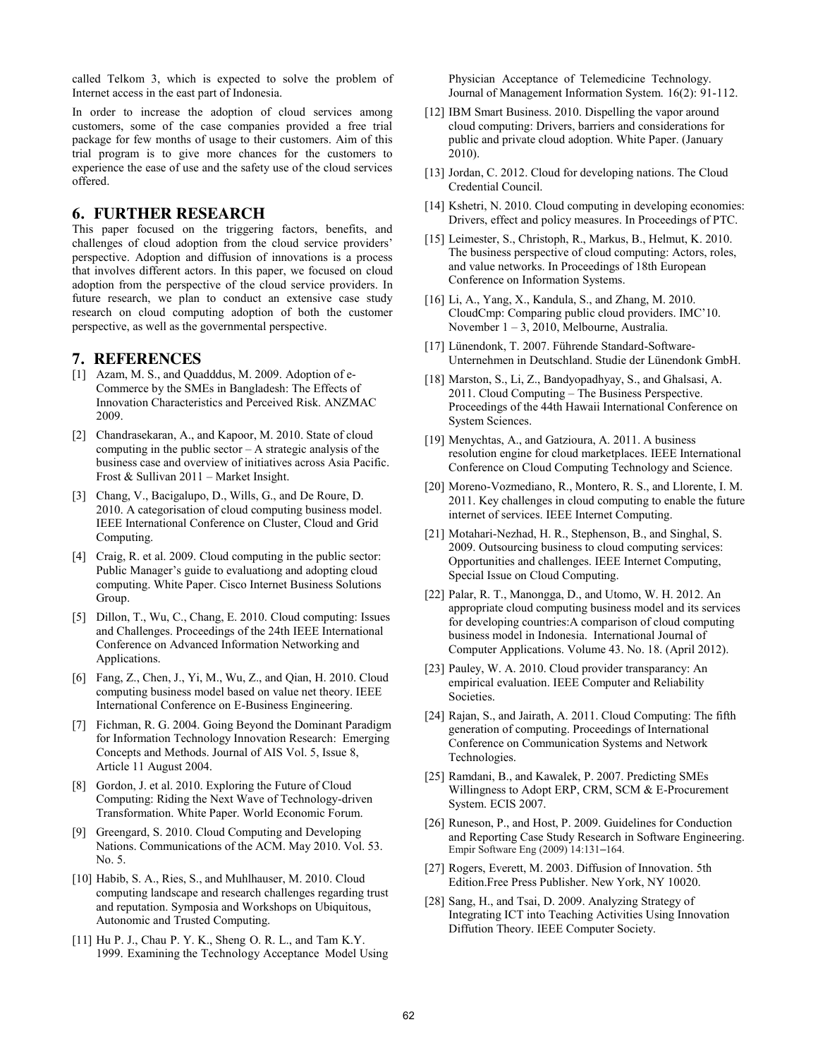called Telkom 3, which is expected to solve the problem of Internet access in the east part of Indonesia.

In order to increase the adoption of cloud services among customers, some of the case companies provided a free trial package for few months of usage to their customers. Aim of this trial program is to give more chances for the customers to experience the ease of use and the safety use of the cloud services offered.

### **6. FURTHER RESEARCH**

This paper focused on the triggering factors, benefits, and challenges of cloud adoption from the cloud service providers' perspective. Adoption and diffusion of innovations is a process that involves different actors. In this paper, we focused on cloud adoption from the perspective of the cloud service providers. In future research, we plan to conduct an extensive case study research on cloud computing adoption of both the customer perspective, as well as the governmental perspective.

#### **7. REFERENCES**

- [1] Azam, M. S., and Quadddus, M. 2009. Adoption of e-Commerce by the SMEs in Bangladesh: The Effects of Innovation Characteristics and Perceived Risk. ANZMAC 2009.
- [2] Chandrasekaran, A., and Kapoor, M. 2010. State of cloud computing in the public sector – A strategic analysis of the business case and overview of initiatives across Asia Pacific. Frost & Sullivan 2011 – Market Insight.
- [3] Chang, V., Bacigalupo, D., Wills, G., and De Roure, D. 2010. A categorisation of cloud computing business model. IEEE International Conference on Cluster, Cloud and Grid Computing.
- [4] Craig, R. et al. 2009. Cloud computing in the public sector: Public Manager's guide to evaluationg and adopting cloud computing. White Paper. Cisco Internet Business Solutions Group.
- [5] Dillon, T., Wu, C., Chang, E. 2010. Cloud computing: Issues and Challenges. Proceedings of the 24th IEEE International Conference on Advanced Information Networking and Applications.
- [6] Fang, Z., Chen, J., Yi, M., Wu, Z., and Qian, H. 2010. Cloud computing business model based on value net theory. IEEE International Conference on E-Business Engineering.
- [7] Fichman, R. G. 2004. Going Beyond the Dominant Paradigm for Information Technology Innovation Research: Emerging Concepts and Methods. Journal of AIS Vol. 5, Issue 8, Article 11 August 2004.
- [8] Gordon, J. et al. 2010. Exploring the Future of Cloud Computing: Riding the Next Wave of Technology-driven Transformation. White Paper. World Economic Forum.
- [9] Greengard, S. 2010. Cloud Computing and Developing Nations. Communications of the ACM. May 2010. Vol. 53. No. 5.
- [10] Habib, S. A., Ries, S., and Muhlhauser, M. 2010. Cloud computing landscape and research challenges regarding trust and reputation. Symposia and Workshops on Ubiquitous, Autonomic and Trusted Computing.
- [11] Hu P. J., Chau P. Y. K., Sheng O. R. L., and Tam K.Y. 1999. Examining the Technology Acceptance Model Using

Physician Acceptance of Telemedicine Technology. Journal of Management Information System. 16(2): 91-112.

- [12] IBM Smart Business. 2010. Dispelling the vapor around cloud computing: Drivers, barriers and considerations for public and private cloud adoption. White Paper. (January 2010).
- [13] Jordan, C. 2012. Cloud for developing nations. The Cloud Credential Council.
- [14] Kshetri, N. 2010. Cloud computing in developing economies: Drivers, effect and policy measures. In Proceedings of PTC.
- [15] Leimester, S., Christoph, R., Markus, B., Helmut, K. 2010. The business perspective of cloud computing: Actors, roles, and value networks. In Proceedings of 18th European Conference on Information Systems.
- [16] Li, A., Yang, X., Kandula, S., and Zhang, M. 2010. CloudCmp: Comparing public cloud providers. IMC'10. November 1 – 3, 2010, Melbourne, Australia.
- [17] Lünendonk, T. 2007. Führende Standard-Software-Unternehmen in Deutschland. Studie der Lünendonk GmbH.
- [18] Marston, S., Li, Z., Bandyopadhyay, S., and Ghalsasi, A. 2011. Cloud Computing – The Business Perspective. Proceedings of the 44th Hawaii International Conference on System Sciences.
- [19] Menychtas, A., and Gatzioura, A. 2011. A business resolution engine for cloud marketplaces. IEEE International Conference on Cloud Computing Technology and Science.
- [20] Moreno-Vozmediano, R., Montero, R. S., and Llorente, I. M. 2011. Key challenges in cloud computing to enable the future internet of services. IEEE Internet Computing.
- [21] Motahari-Nezhad, H. R., Stephenson, B., and Singhal, S. 2009. Outsourcing business to cloud computing services: Opportunities and challenges. IEEE Internet Computing, Special Issue on Cloud Computing.
- [22] Palar, R. T., Manongga, D., and Utomo, W. H. 2012. An appropriate cloud computing business model and its services for developing countries:A comparison of cloud computing business model in Indonesia. International Journal of Computer Applications. Volume 43. No. 18. (April 2012).
- [23] Pauley, W. A. 2010. Cloud provider transparancy: An empirical evaluation. IEEE Computer and Reliability Societies.
- [24] Rajan, S., and Jairath, A. 2011. Cloud Computing: The fifth generation of computing. Proceedings of International Conference on Communication Systems and Network Technologies.
- [25] Ramdani, B., and Kawalek, P. 2007. Predicting SMEs Willingness to Adopt ERP, CRM, SCM & E-Procurement System. ECIS 2007.
- [26] Runeson, P., and Host, P. 2009. Guidelines for Conduction and Reporting Case Study Research in Software Engineering. Empir Software Eng (2009) 14:131–164.
- [27] Rogers, Everett, M. 2003. Diffusion of Innovation. 5th Edition.Free Press Publisher. New York, NY 10020.
- [28] Sang, H., and Tsai, D. 2009. Analyzing Strategy of Integrating ICT into Teaching Activities Using Innovation Diffution Theory. IEEE Computer Society.